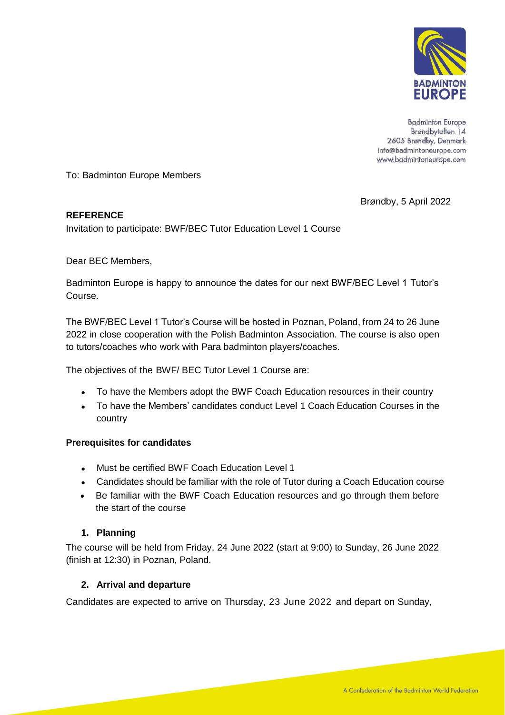

**Badminton Europe** Brøndbytoften 14 2605 Brøndby, Denmark info@badmintoneurope.com www.badmintoneurope.com

To: Badminton Europe Members

Brøndby, 5 April 2022

### **REFERENCE**

Invitation to participate: BWF/BEC Tutor Education Level 1 Course

Dear BEC Members,

Badminton Europe is happy to announce the dates for our next BWF/BEC Level 1 Tutor's Course.

The BWF/BEC Level 1 Tutor's Course will be hosted in Poznan, Poland, from 24 to 26 June 2022 in close cooperation with the Polish Badminton Association. The course is also open to tutors/coaches who work with Para badminton players/coaches.

The objectives of the BWF/ BEC Tutor Level 1 Course are:

- To have the Members adopt the BWF Coach Education resources in their country
- To have the Members' candidates conduct Level 1 Coach Education Courses in the country

### **Prerequisites for candidates**

- Must be certified BWF Coach Education Level 1
- Candidates should be familiar with the role of Tutor during a Coach Education course
- Be familiar with the BWF Coach Education resources and go through them before the start of the course

# **1. Planning**

The course will be held from Friday, 24 June 2022 (start at 9:00) to Sunday, 26 June 2022 (finish at 12:30) in Poznan, Poland.

### **2. Arrival and departure**

Candidates are expected to arrive on Thursday, 23 June 2022 and depart on Sunday,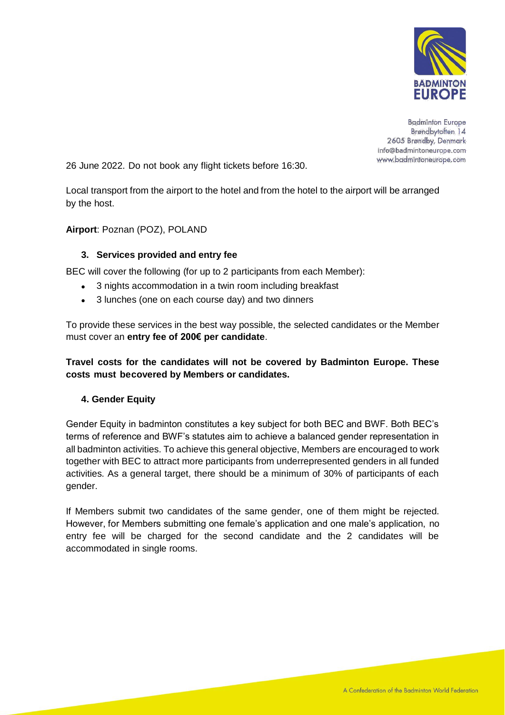

**Badminton Europe** Brøndbytoften 14 2605 Brøndby, Denmark info@badmintoneurope.com www.badmintoneurope.com

26 June 2022. Do not book any flight tickets before 16:30.

Local transport from the airport to the hotel and from the hotel to the airport will be arranged by the host.

## **Airport**: Poznan (POZ), POLAND

## **3. Services provided and entry fee**

BEC will cover the following (for up to 2 participants from each Member):

- 3 nights accommodation in a twin room including breakfast
- 3 lunches (one on each course day) and two dinners

To provide these services in the best way possible, the selected candidates or the Member must cover an **entry fee of 200€ per candidate**.

**Travel costs for the candidates will not be covered by Badminton Europe. These costs must becovered by Members or candidates.**

### **4. Gender Equity**

Gender Equity in badminton constitutes a key subject for both BEC and BWF. Both BEC's terms of reference and BWF's statutes aim to achieve a balanced gender representation in all badminton activities. To achieve this general objective, Members are encouraged to work together with BEC to attract more participants from underrepresented genders in all funded activities. As a general target, there should be a minimum of 30% of participants of each gender.

If Members submit two candidates of the same gender, one of them might be rejected. However, for Members submitting one female's application and one male's application, no entry fee will be charged for the second candidate and the 2 candidates will be accommodated in single rooms.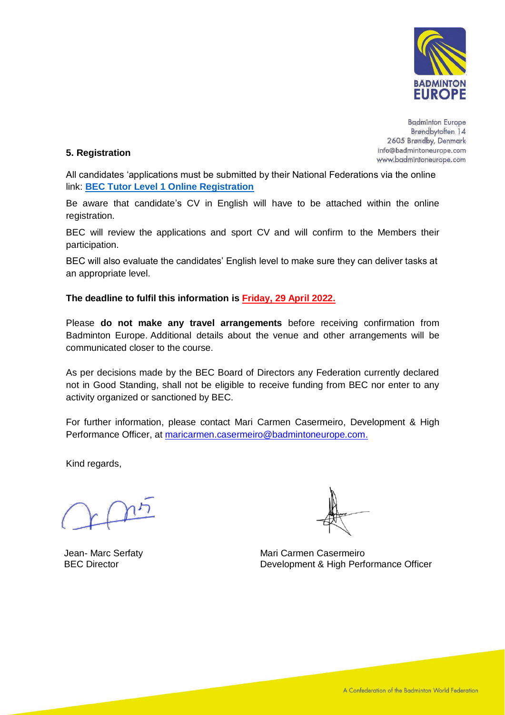

**Badminton Europe** Brøndbytoften 14 2605 Brøndby, Denmark info@badmintoneurope.com www.badmintoneurope.com

### **5. Registration**

All candidates 'applications must be submitted by their National Federations via the online link: **[BEC Tutor Level 1 Online Registration](https://fs4.formsite.com/BECMeetings/huuu8ohxfh/index.html)**

Be aware that candidate's CV in English will have to be attached within the online registration.

BEC will review the applications and sport CV and will confirm to the Members their participation.

BEC will also evaluate the candidates' English level to make sure they can deliver tasks at an appropriate level.

### **The deadline to fulfil this information is Friday, 29 April 2022.**

Please **do not make any travel arrangements** before receiving confirmation from Badminton Europe. Additional details about the venue and other arrangements will be communicated closer to the course.

As per decisions made by the BEC Board of Directors any Federation currently declared not in Good Standing, shall not be eligible to receive funding from BEC nor enter to any activity organized or sanctioned by BEC.

For further information, please contact Mari Carmen Casermeiro, Development & High Performance Officer, at [maricarmen.casermeiro@badmintoneurope.com.](mailto:maricarmen.casermeiro@badmintoneurope.com)

Kind regards,

Jean- Marc Serfaty BEC Director

Mari Carmen Casermeiro Development & High Performance Officer